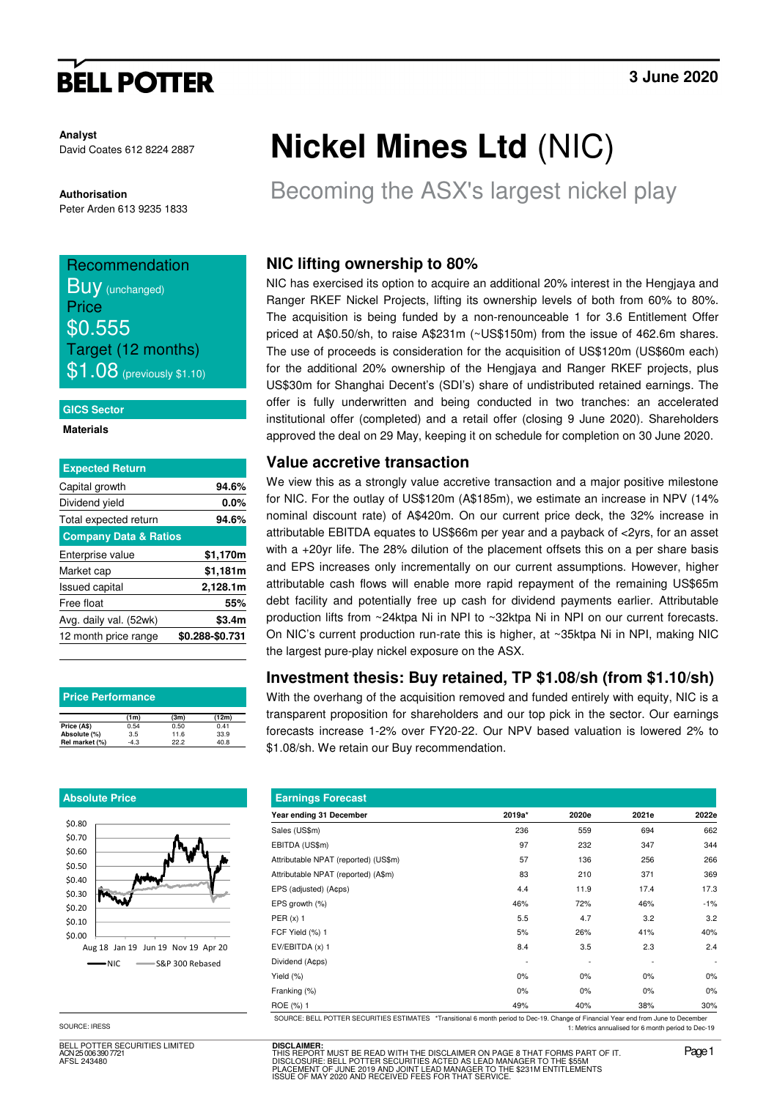# **BELL POTTER**

**Analyst** David Coates 612 8224 2887

**Authorisation**  Peter Arden 613 9235 1833

## Recommendation

**BUV** (unchanged) **Price** \$0.555 Target (12 months)  $$1.08$  (previously \$1.10)

#### **GICS Sector**

**Materials** 

| <b>Expected Return</b>           |                 |
|----------------------------------|-----------------|
| Capital growth                   | 94.6%           |
| Dividend yield                   | $0.0\%$         |
| Total expected return            | 94.6%           |
| <b>Company Data &amp; Ratios</b> |                 |
| Enterprise value                 | \$1,170m        |
| Market cap                       | \$1,181m        |
| <b>Issued capital</b>            | 2,128.1m        |
| Free float                       | 55%             |
| Avg. daily val. (52wk)           | \$3.4m          |
| 12 month price range             | \$0.288-\$0.731 |
|                                  |                 |

| <b>Price Performance</b> |        |      |       |  |  |  |  |
|--------------------------|--------|------|-------|--|--|--|--|
|                          | (1m)   | (3m) | (12m) |  |  |  |  |
| Price (A\$)              | 0.54   | 0.50 | 0.41  |  |  |  |  |
| Absolute (%)             | 3.5    | 11.6 | 33.9  |  |  |  |  |
| Rel market (%)           | $-4.3$ | 22.2 | 40.8  |  |  |  |  |

#### **Absolute Price**



SOURCE: IRESS

BELL POTTER SECURITIES LIMITED h 006 390 772 AFSL 243480

# **Nickel Mines Ltd** (NIC)

Becoming the ASX's largest nickel play

## **NIC lifting ownership to 80%**

NIC has exercised its option to acquire an additional 20% interest in the Hengjaya and Ranger RKEF Nickel Projects, lifting its ownership levels of both from 60% to 80%. The acquisition is being funded by a non-renounceable 1 for 3.6 Entitlement Offer priced at A\$0.50/sh, to raise A\$231m (~US\$150m) from the issue of 462.6m shares. The use of proceeds is consideration for the acquisition of US\$120m (US\$60m each) for the additional 20% ownership of the Hengjaya and Ranger RKEF projects, plus US\$30m for Shanghai Decent's (SDI's) share of undistributed retained earnings. The offer is fully underwritten and being conducted in two tranches: an accelerated institutional offer (completed) and a retail offer (closing 9 June 2020). Shareholders approved the deal on 29 May, keeping it on schedule for completion on 30 June 2020.

#### **Value accretive transaction**

We view this as a strongly value accretive transaction and a major positive milestone for NIC. For the outlay of US\$120m (A\$185m), we estimate an increase in NPV (14% nominal discount rate) of A\$420m. On our current price deck, the 32% increase in attributable EBITDA equates to US\$66m per year and a payback of <2yrs, for an asset with a +20yr life. The 28% dilution of the placement offsets this on a per share basis and EPS increases only incrementally on our current assumptions. However, higher attributable cash flows will enable more rapid repayment of the remaining US\$65m debt facility and potentially free up cash for dividend payments earlier. Attributable production lifts from ~24ktpa Ni in NPI to ~32ktpa Ni in NPI on our current forecasts. On NIC's current production run-rate this is higher, at ~35ktpa Ni in NPI, making NIC the largest pure-play nickel exposure on the ASX.

#### **Investment thesis: Buy retained, TP \$1.08/sh (from \$1.10/sh)**

With the overhang of the acquisition removed and funded entirely with equity, NIC is a transparent proposition for shareholders and our top pick in the sector. Our earnings forecasts increase 1-2% over FY20-22. Our NPV based valuation is lowered 2% to \$1.08/sh. We retain our Buy recommendation.

| <b>Earnings Forecast</b>             |        |       |       |                          |  |  |  |
|--------------------------------------|--------|-------|-------|--------------------------|--|--|--|
| Year ending 31 December              | 2019a* | 2020e | 2021e | 2022e                    |  |  |  |
| Sales (US\$m)                        | 236    | 559   | 694   | 662                      |  |  |  |
| EBITDA (US\$m)                       | 97     | 232   | 347   | 344                      |  |  |  |
| Attributable NPAT (reported) (US\$m) | 57     | 136   | 256   | 266                      |  |  |  |
| Attributable NPAT (reported) (A\$m)  | 83     | 210   | 371   | 369                      |  |  |  |
| EPS (adjusted) (A¢ps)                | 4.4    | 11.9  | 17.4  | 17.3                     |  |  |  |
| EPS growth (%)                       | 46%    | 72%   | 46%   | $-1%$                    |  |  |  |
| PER $(x)$ 1                          | 5.5    | 4.7   | 3.2   | 3.2                      |  |  |  |
| FCF Yield (%) 1                      | 5%     | 26%   | 41%   | 40%                      |  |  |  |
| EV/EBITDA (x) 1                      | 8.4    | 3.5   | 2.3   | 2.4                      |  |  |  |
| Dividend (A¢ps)                      |        |       |       | $\overline{\phantom{a}}$ |  |  |  |
| Yield (%)                            | $0\%$  | 0%    | $0\%$ | 0%                       |  |  |  |
| Franking (%)                         | 0%     | 0%    | $0\%$ | $0\%$                    |  |  |  |
| ROE (%) 1                            | 49%    | 40%   | 38%   | 30%                      |  |  |  |

SOURCE: BELL POTTER SECURITIES ESTIMATES \*Transitional 6 month period to Dec-19. Change of Financial Year end from June to December 1: Metrics annualised for 6 month period to Dec-19

**DISCLAIMER:** THIS REPORT MUST BE READ WITH THE DISCLAIMER ON PAGE 8 THAT FORMS PART OF IT.<br>DISCLOSURE: BELL POTTER SECURITIES ACTED AS LEAD MANAGER TO THE \$55M<br>PLACEMENT OF JUNE 2019 AND JOINT LEAD MANAGER TO THE \$231M ENTITLEMENTS<br>ISS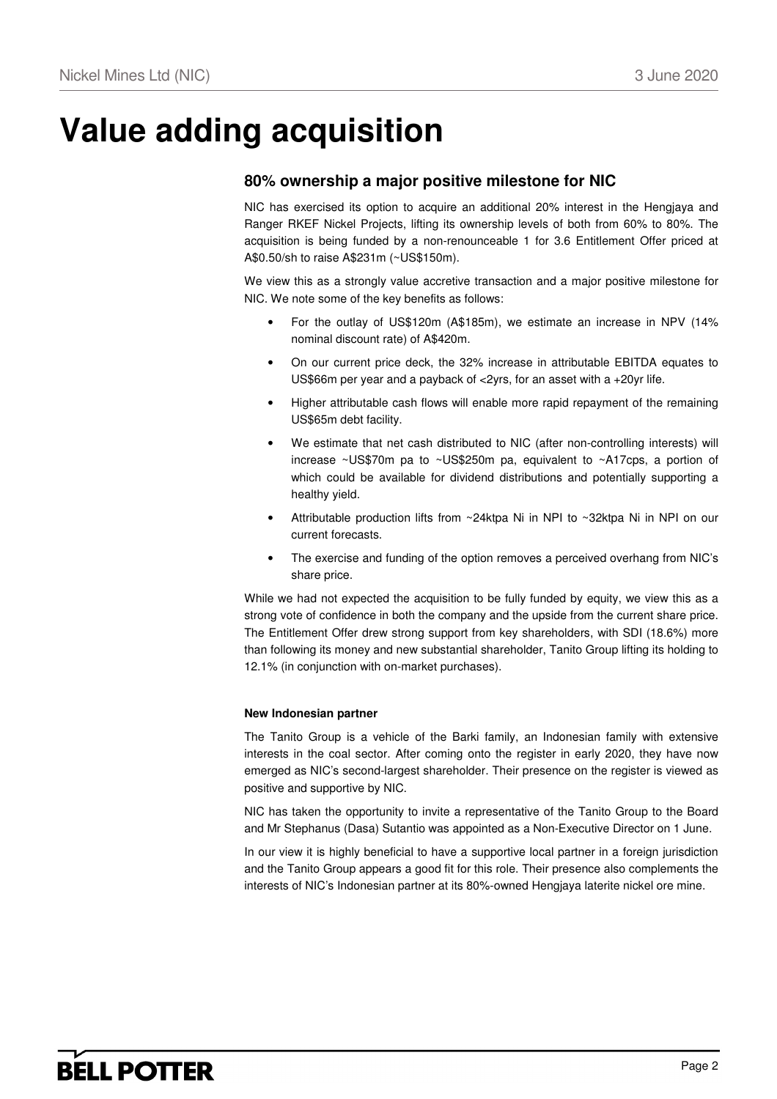# **Value adding acquisition**

### **80% ownership a major positive milestone for NIC**

NIC has exercised its option to acquire an additional 20% interest in the Hengjaya and Ranger RKEF Nickel Projects, lifting its ownership levels of both from 60% to 80%. The acquisition is being funded by a non-renounceable 1 for 3.6 Entitlement Offer priced at A\$0.50/sh to raise A\$231m (~US\$150m).

We view this as a strongly value accretive transaction and a major positive milestone for NIC. We note some of the key benefits as follows:

- For the outlay of US\$120m (A\$185m), we estimate an increase in NPV (14% nominal discount rate) of A\$420m.
- On our current price deck, the 32% increase in attributable EBITDA equates to US\$66m per year and a payback of <2yrs, for an asset with a +20yr life.
- Higher attributable cash flows will enable more rapid repayment of the remaining US\$65m debt facility.
- We estimate that net cash distributed to NIC (after non-controlling interests) will increase ~US\$70m pa to ~US\$250m pa, equivalent to ~A17cps, a portion of which could be available for dividend distributions and potentially supporting a healthy yield.
- Attributable production lifts from ~24ktpa Ni in NPI to ~32ktpa Ni in NPI on our current forecasts.
- The exercise and funding of the option removes a perceived overhang from NIC's share price.

While we had not expected the acquisition to be fully funded by equity, we view this as a strong vote of confidence in both the company and the upside from the current share price. The Entitlement Offer drew strong support from key shareholders, with SDI (18.6%) more than following its money and new substantial shareholder, Tanito Group lifting its holding to 12.1% (in conjunction with on-market purchases).

#### **New Indonesian partner**

The Tanito Group is a vehicle of the Barki family, an Indonesian family with extensive interests in the coal sector. After coming onto the register in early 2020, they have now emerged as NIC's second-largest shareholder. Their presence on the register is viewed as positive and supportive by NIC.

NIC has taken the opportunity to invite a representative of the Tanito Group to the Board and Mr Stephanus (Dasa) Sutantio was appointed as a Non-Executive Director on 1 June.

In our view it is highly beneficial to have a supportive local partner in a foreign jurisdiction and the Tanito Group appears a good fit for this role. Their presence also complements the interests of NIC's Indonesian partner at its 80%-owned Hengjaya laterite nickel ore mine.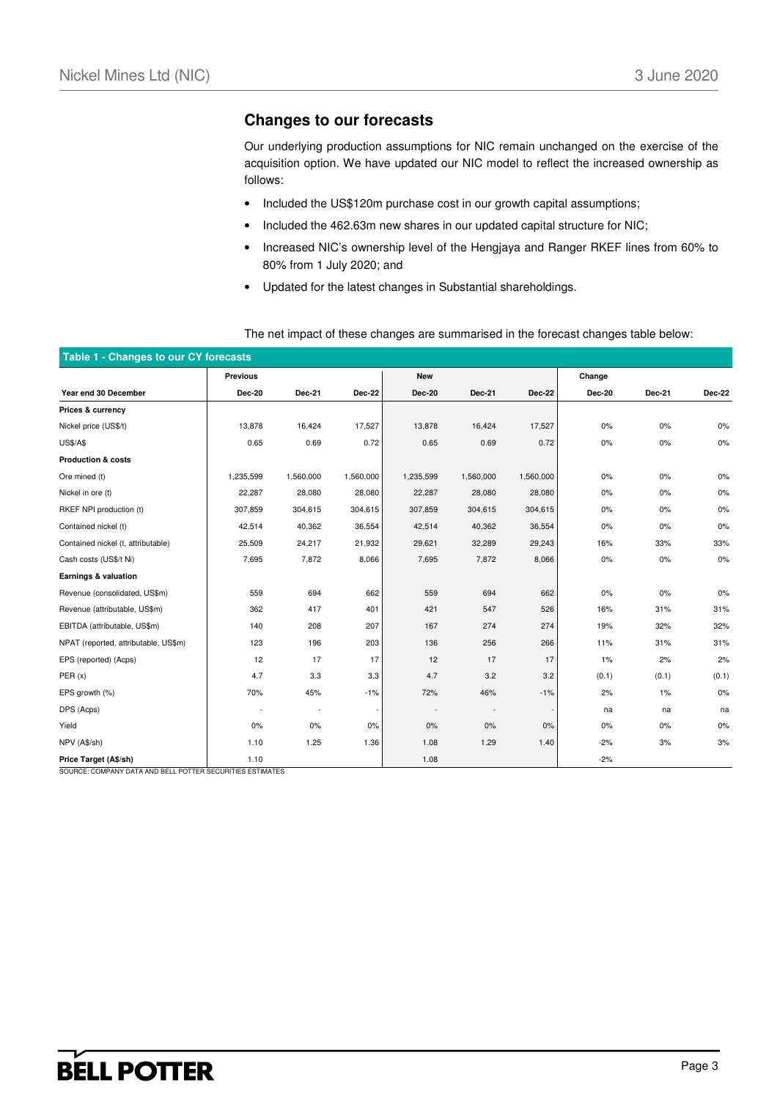#### **Changes to our forecasts**

Our underlying production assumptions for NIC remain unchanged on the exercise of the acquisition option. We have updated our NIC model to reflect the increased ownership as follows:

- Included the US\$120m purchase cost in our growth capital assumptions;
- Included the 462.63m new shares in our updated capital structure for NIC;
- Increased NIC's ownership level of the Hengjaya and Ranger RKEF lines from 60% to 80% from 1 July 2020; and
- Updated for the latest changes in Substantial shareholdings.

| Table 1 - Changes to our CY forecasts |                 |           |               |               |           |               |               |        |               |
|---------------------------------------|-----------------|-----------|---------------|---------------|-----------|---------------|---------------|--------|---------------|
|                                       | <b>Previous</b> |           |               | <b>New</b>    |           |               | Change        |        |               |
| Year end 30 December                  | <b>Dec-20</b>   | Dec-21    | <b>Dec-22</b> | <b>Dec-20</b> | Dec-21    | <b>Dec-22</b> | <b>Dec-20</b> | Dec-21 | <b>Dec-22</b> |
| Prices & currency                     |                 |           |               |               |           |               |               |        |               |
| Nickel price (US\$/t)                 | 13,878          | 16,424    | 17,527        | 13,878        | 16,424    | 17,527        | $0\%$         | 0%     | 0%            |
| <b>US\$/A\$</b>                       | 0.65            | 0.69      | 0.72          | 0.65          | 0.69      | 0.72          | $0\%$         | 0%     | 0%            |
| <b>Production &amp; costs</b>         |                 |           |               |               |           |               |               |        |               |
| Ore mined (t)                         | 1,235,599       | 1,560,000 | 1,560,000     | 1,235,599     | 1,560,000 | 1,560,000     | $0\%$         | 0%     | 0%            |
| Nickel in ore (t)                     | 22,287          | 28,080    | 28,080        | 22,287        | 28,080    | 28,080        | $0\%$         | 0%     | 0%            |
| RKEF NPI production (t)               | 307,859         | 304,615   | 304,615       | 307,859       | 304,615   | 304,615       | 0%            | 0%     | 0%            |
| Contained nickel (t)                  | 42,514          | 40,362    | 36,554        | 42,514        | 40,362    | 36,554        | $0\%$         | $0\%$  | 0%            |
| Contained nickel (t, attributable)    | 25,509          | 24,217    | 21,932        | 29,621        | 32,289    | 29,243        | 16%           | 33%    | 33%           |
| Cash costs (US\$/t Ni)                | 7,695           | 7,872     | 8,066         | 7,695         | 7,872     | 8,066         | $0\%$         | $0\%$  | 0%            |
| Earnings & valuation                  |                 |           |               |               |           |               |               |        |               |
| Revenue (consolidated, US\$m)         | 559             | 694       | 662           | 559           | 694       | 662           | $0\%$         | 0%     | 0%            |
| Revenue (attributable, US\$m)         | 362             | 417       | 401           | 421           | 547       | 526           | 16%           | 31%    | 31%           |
| EBITDA (attributable, US\$m)          | 140             | 208       | 207           | 167           | 274       | 274           | 19%           | 32%    | 32%           |
| NPAT (reported, attributable, US\$m)  | 123             | 196       | 203           | 136           | 256       | 266           | 11%           | 31%    | 31%           |
| EPS (reported) (Acps)                 | 12              | 17        | 17            | 12            | 17        | 17            | 1%            | 2%     | 2%            |
| PER(x)                                | 4.7             | 3.3       | 3.3           | 4.7           | 3.2       | 3.2           | (0.1)         | (0.1)  | (0.1)         |
| EPS growth (%)                        | 70%             | 45%       | $-1%$         | 72%           | 46%       | $-1%$         | 2%            | $1\%$  | 0%            |
| DPS (Acps)                            |                 | $\sim$    |               |               |           |               | na            | na     | na            |
| Yield                                 | 0%              | 0%        | 0%            | 0%            | 0%        | 0%            | 0%            | 0%     | 0%            |
| NPV (A\$/sh)                          | 1.10            | 1.25      | 1.36          | 1.08          | 1.29      | 1.40          | $-2%$         | 3%     | 3%            |
| Price Target (A\$/sh)                 | 1.10            |           |               | 1.08          |           |               | $-2%$         |        |               |

The net impact of these changes are summarised in the forecast changes table below:

SOURCE: COMPANY DATA AND BELL POTTER SECURITIES ESTIMATES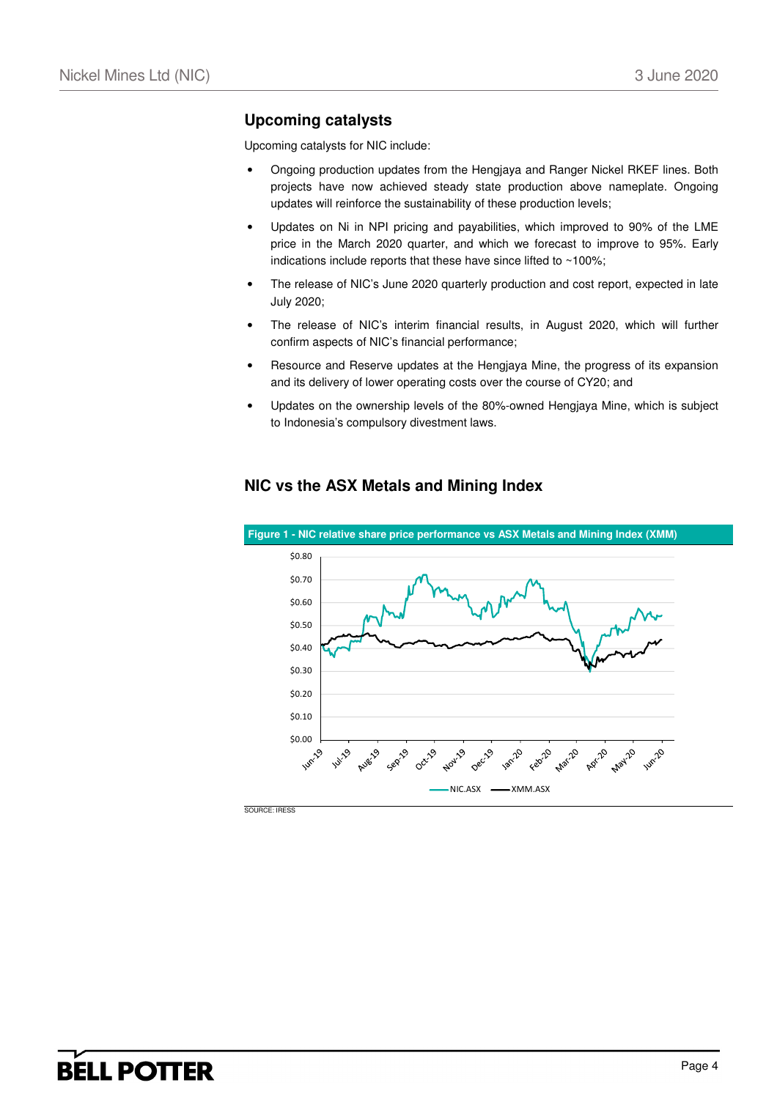### **Upcoming catalysts**

Upcoming catalysts for NIC include:

- Ongoing production updates from the Hengjaya and Ranger Nickel RKEF lines. Both projects have now achieved steady state production above nameplate. Ongoing updates will reinforce the sustainability of these production levels;
- Updates on Ni in NPI pricing and payabilities, which improved to 90% of the LME price in the March 2020 quarter, and which we forecast to improve to 95%. Early indications include reports that these have since lifted to ~100%;
- The release of NIC's June 2020 quarterly production and cost report, expected in late July 2020;
- The release of NIC's interim financial results, in August 2020, which will further confirm aspects of NIC's financial performance;
- Resource and Reserve updates at the Hengjaya Mine, the progress of its expansion and its delivery of lower operating costs over the course of CY20; and
- Updates on the ownership levels of the 80%-owned Hengjaya Mine, which is subject to Indonesia's compulsory divestment laws.



### **NIC vs the ASX Metals and Mining Index**

SOURCE: IRESS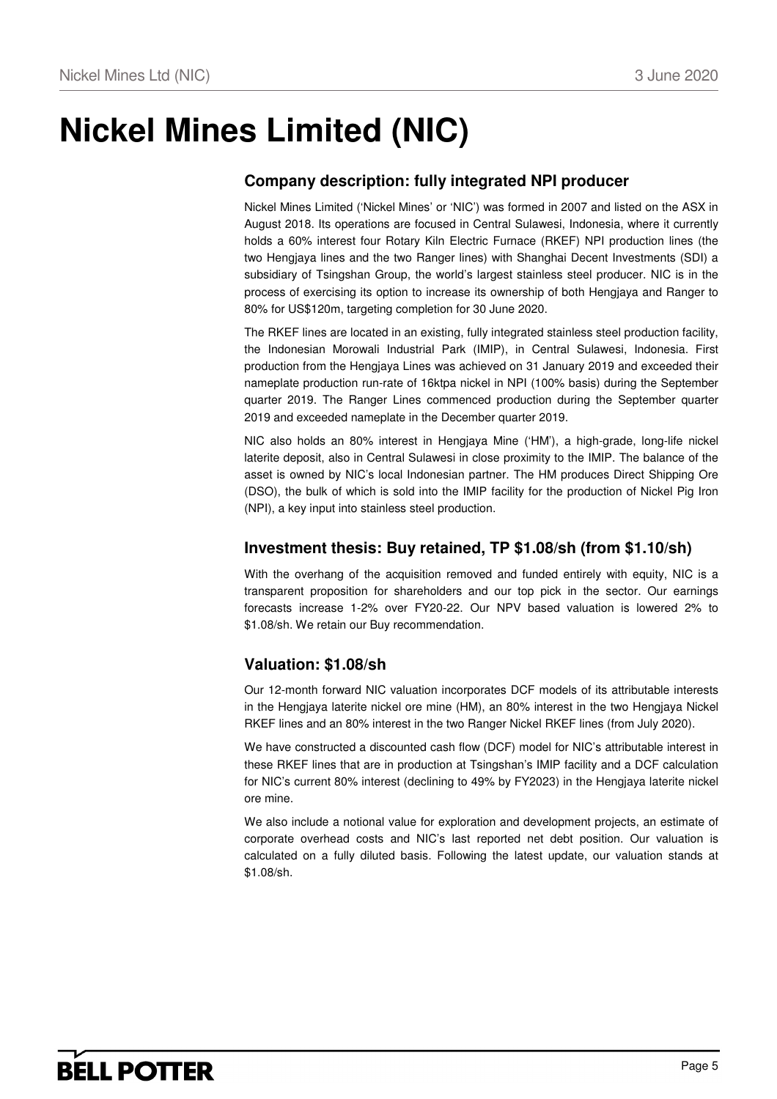## **Nickel Mines Limited (NIC)**

## **Company description: fully integrated NPI producer**

Nickel Mines Limited ('Nickel Mines' or 'NIC') was formed in 2007 and listed on the ASX in August 2018. Its operations are focused in Central Sulawesi, Indonesia, where it currently holds a 60% interest four Rotary Kiln Electric Furnace (RKEF) NPI production lines (the two Hengjaya lines and the two Ranger lines) with Shanghai Decent Investments (SDI) a subsidiary of Tsingshan Group, the world's largest stainless steel producer. NIC is in the process of exercising its option to increase its ownership of both Hengjaya and Ranger to 80% for US\$120m, targeting completion for 30 June 2020.

The RKEF lines are located in an existing, fully integrated stainless steel production facility, the Indonesian Morowali Industrial Park (IMIP), in Central Sulawesi, Indonesia. First production from the Hengjaya Lines was achieved on 31 January 2019 and exceeded their nameplate production run-rate of 16ktpa nickel in NPI (100% basis) during the September quarter 2019. The Ranger Lines commenced production during the September quarter 2019 and exceeded nameplate in the December quarter 2019.

NIC also holds an 80% interest in Hengjaya Mine ('HM'), a high-grade, long-life nickel laterite deposit, also in Central Sulawesi in close proximity to the IMIP. The balance of the asset is owned by NIC's local Indonesian partner. The HM produces Direct Shipping Ore (DSO), the bulk of which is sold into the IMIP facility for the production of Nickel Pig Iron (NPI), a key input into stainless steel production.

### **Investment thesis: Buy retained, TP \$1.08/sh (from \$1.10/sh)**

With the overhang of the acquisition removed and funded entirely with equity, NIC is a transparent proposition for shareholders and our top pick in the sector. Our earnings forecasts increase 1-2% over FY20-22. Our NPV based valuation is lowered 2% to \$1.08/sh. We retain our Buy recommendation.

### **Valuation: \$1.08/sh**

Our 12-month forward NIC valuation incorporates DCF models of its attributable interests in the Hengjaya laterite nickel ore mine (HM), an 80% interest in the two Hengjaya Nickel RKEF lines and an 80% interest in the two Ranger Nickel RKEF lines (from July 2020).

We have constructed a discounted cash flow (DCF) model for NIC's attributable interest in these RKEF lines that are in production at Tsingshan's IMIP facility and a DCF calculation for NIC's current 80% interest (declining to 49% by FY2023) in the Hengjaya laterite nickel ore mine.

We also include a notional value for exploration and development projects, an estimate of corporate overhead costs and NIC's last reported net debt position. Our valuation is calculated on a fully diluted basis. Following the latest update, our valuation stands at \$1.08/sh.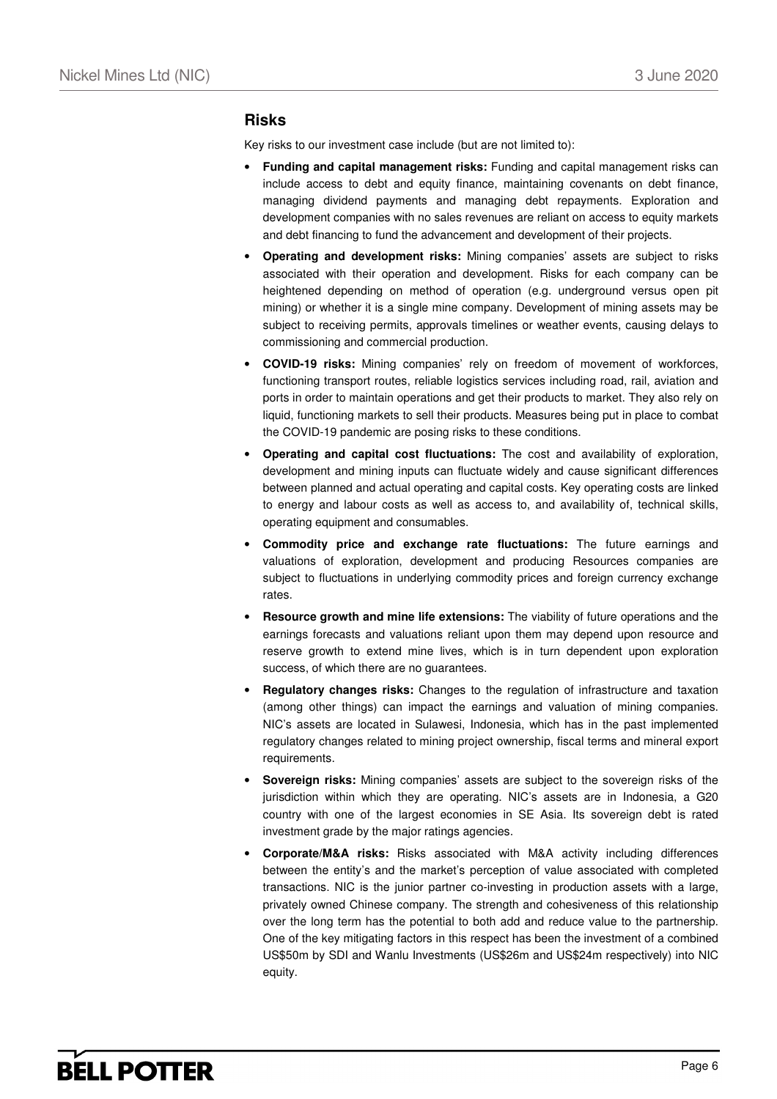#### **Risks**

Key risks to our investment case include (but are not limited to):

- **Funding and capital management risks:** Funding and capital management risks can include access to debt and equity finance, maintaining covenants on debt finance, managing dividend payments and managing debt repayments. Exploration and development companies with no sales revenues are reliant on access to equity markets and debt financing to fund the advancement and development of their projects.
- **Operating and development risks:** Mining companies' assets are subject to risks associated with their operation and development. Risks for each company can be heightened depending on method of operation (e.g. underground versus open pit mining) or whether it is a single mine company. Development of mining assets may be subject to receiving permits, approvals timelines or weather events, causing delays to commissioning and commercial production.
- **COVID-19 risks:** Mining companies' rely on freedom of movement of workforces, functioning transport routes, reliable logistics services including road, rail, aviation and ports in order to maintain operations and get their products to market. They also rely on liquid, functioning markets to sell their products. Measures being put in place to combat the COVID-19 pandemic are posing risks to these conditions.
- **Operating and capital cost fluctuations:** The cost and availability of exploration, development and mining inputs can fluctuate widely and cause significant differences between planned and actual operating and capital costs. Key operating costs are linked to energy and labour costs as well as access to, and availability of, technical skills, operating equipment and consumables.
- **Commodity price and exchange rate fluctuations:** The future earnings and valuations of exploration, development and producing Resources companies are subject to fluctuations in underlying commodity prices and foreign currency exchange rates.
- **Resource growth and mine life extensions:** The viability of future operations and the earnings forecasts and valuations reliant upon them may depend upon resource and reserve growth to extend mine lives, which is in turn dependent upon exploration success, of which there are no guarantees.
- **Regulatory changes risks:** Changes to the regulation of infrastructure and taxation (among other things) can impact the earnings and valuation of mining companies. NIC's assets are located in Sulawesi, Indonesia, which has in the past implemented regulatory changes related to mining project ownership, fiscal terms and mineral export requirements.
- **Sovereign risks:** Mining companies' assets are subject to the sovereign risks of the jurisdiction within which they are operating. NIC's assets are in Indonesia, a G20 country with one of the largest economies in SE Asia. Its sovereign debt is rated investment grade by the major ratings agencies.
- **Corporate/M&A risks:** Risks associated with M&A activity including differences between the entity's and the market's perception of value associated with completed transactions. NIC is the junior partner co-investing in production assets with a large, privately owned Chinese company. The strength and cohesiveness of this relationship over the long term has the potential to both add and reduce value to the partnership. One of the key mitigating factors in this respect has been the investment of a combined US\$50m by SDI and Wanlu Investments (US\$26m and US\$24m respectively) into NIC equity.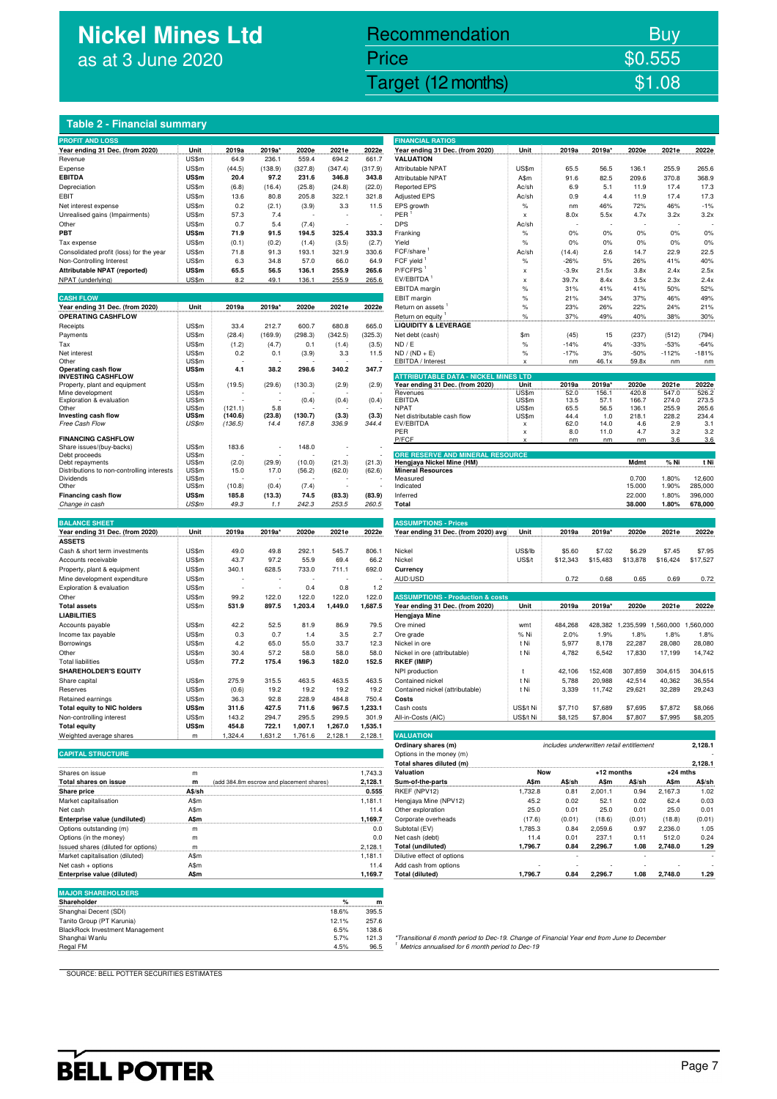## **Nickel Mines Ltd** as at 3 June 2020

## Nickel Mines Ltd (Nickel Mines Ltd (Nickel Mines Ltd (Nickel Mines Ltd (Nickel Mines Ltd Control) \$1.08 Recommendation Buy Price \$0.555

#### **Table 2 - Financial summary**

| <b>PROFIT AND LOSS</b><br>Year ending 31 Dec. (from 2020)              | Unit           | 2019a                                    | 2019a'       | 2020e        | 2021e        | 2022e              | <b>FINANCIAL RATIOS</b><br>Year ending 31 Dec. (from 2020)                                                                                    | Unit                      | 2019a                                    | 2019a'           | 2020e             | 2021e            | 2022e          |
|------------------------------------------------------------------------|----------------|------------------------------------------|--------------|--------------|--------------|--------------------|-----------------------------------------------------------------------------------------------------------------------------------------------|---------------------------|------------------------------------------|------------------|-------------------|------------------|----------------|
| Revenue                                                                | US\$m          | 64.9                                     | 236.1        | 559.4        | 694.2        | 661.7              | <b>VALUATION</b>                                                                                                                              |                           |                                          |                  |                   |                  |                |
| Expense                                                                | US\$m          | (44.5)                                   | (138.9)      | (327.8)      | (347.4)      | (317.9)            | Attributable NPAT                                                                                                                             | US\$m                     | 65.5                                     | 56.5             | 136.1             | 255.9            | 265.6          |
| <b>EBITDA</b>                                                          | US\$m          | 20.4                                     | 97.2         | 231.6        | 346.8        | 343.8              | <b>Attributable NPAT</b>                                                                                                                      | A\$m                      | 91.6                                     | 82.5             | 209.6             | 370.8            | 368.9          |
| Depreciation                                                           | US\$m          | (6.8)                                    | (16.4)       | (25.8)       | (24.8)       | (22.0)             | <b>Reported EPS</b>                                                                                                                           | Ac/sh                     | 6.9                                      | 5.1              | 11.9              | 17.4             | 17.3           |
| EBIT                                                                   | US\$m          | 13.6                                     | 80.8         | 205.8        | 322.1        | 321.8              | <b>Adjusted EPS</b>                                                                                                                           | Ac/sh                     | 0.9                                      | 4.4              | 11.9              | 17.4             | 17.3           |
| Net interest expense                                                   | US\$m          | 0.2                                      | (2.1)        | (3.9)        | 3.3          | 11.5               | EPS growth                                                                                                                                    | $\%$                      | nm                                       | 46%              | 72%               | 46%              | $-1%$          |
| Unrealised gains (Impairments)                                         | US\$m          | 57.3                                     | 7.4          |              |              |                    | PER                                                                                                                                           | $\boldsymbol{\mathsf{x}}$ | 8.0x                                     | 5.5x             | 4.7x              | 3.2x             | 3.2x           |
| Other                                                                  | US\$m          | 0.7                                      | 5.4          | (7.4)        |              |                    | <b>DPS</b>                                                                                                                                    | Ac/sh                     |                                          |                  |                   |                  |                |
| PBT                                                                    | US\$m          | 71.9                                     | 91.5         | 194.5        | 325.4        | 333.3              | Franking                                                                                                                                      | $\%$                      | 0%                                       | 0%               | 0%                | 0%               | 0%             |
| Tax expense                                                            | US\$m          | (0.1)                                    | (0.2)        | (1.4)        | (3.5)        | (2.7)              | Yield                                                                                                                                         | $\%$                      | 0%                                       | 0%               | 0%                | 0%               | 0%             |
| Consolidated profit (loss) for the year                                | US\$m          | 71.8                                     | 91.3         | 193.1        | 321.9        | 330.6              | FCF/share                                                                                                                                     | Ac/sh                     | (14.4)                                   | 2.6              | 14.7              | 22.9             | 22.5           |
| Non-Controlling Interest                                               | US\$m          | 6.3                                      | 34.8         | 57.0         | 66.0         | 64.9               | FCF yield <sup>1</sup>                                                                                                                        | $\%$                      | $-26%$                                   | 5%               | 26%               | 41%              | 40%            |
| Attributable NPAT (reported)                                           | US\$m          | 65.5                                     | 56.5         | 136.1        | 255.9        | 265.6              | P/FCFPS <sup>1</sup>                                                                                                                          | X                         | $-3.9x$                                  | 21.5x            | 3.8x              | 2.4x             | 2.5x           |
| NPAT (underlying)                                                      | US\$m          | 8.2                                      | 49.1         | 136.1        | 255.9        | 265.6              | EV/EBITDA                                                                                                                                     | X                         | 39.7x                                    | 8.4x             | 3.5x              | 2.3x             | 2.4x           |
|                                                                        |                |                                          |              |              |              |                    | EBITDA margin                                                                                                                                 | %                         | 31%                                      | 41%              | 41%               | 50%              | 52%            |
| <b>CASH FLOW</b>                                                       |                |                                          |              |              |              |                    | EBIT margin                                                                                                                                   | $\%$                      | 21%                                      | 34%              | 37%               | 46%              | 49%            |
| Year ending 31 Dec. (from 2020)<br><b>OPERATING CASHFLOW</b>           | Unit           | 2019a                                    | 2019a*       | 2020e        | 2021e        | 2022e              | Return on assets                                                                                                                              | $\%$                      | 23%                                      | 26%              | 22%               | 24%              | 21%<br>30%     |
| Receipts                                                               | US\$m          | 33.4                                     | 212.7        | 600.7        | 680.8        | 665.0              | Return on equity<br><b>LIQUIDITY &amp; LEVERAGE</b>                                                                                           | $\%$                      | 37%                                      | 49%              | 40%               | 38%              |                |
| Payments                                                               | US\$m          | (28.4)                                   | (169.9)      | (298.3)      | (342.5)      | (325.3)            | Net debt (cash)                                                                                                                               | \$m                       | (45)                                     | 15               | (237)             | (512)            | (794)          |
| Tax                                                                    | US\$m          | (1.2)                                    | (4.7)        | 0.1          | (1.4)        | (3.5)              | ND / E                                                                                                                                        | $\%$                      | $-14%$                                   | 4%               | $-33%$            | $-53%$           | $-64%$         |
| Net interest                                                           | US\$m          | 0.2                                      | 0.1          | (3.9)        | 3.3          | 11.5               | $ND / (ND + E)$                                                                                                                               | %                         | $-17%$                                   | 3%               | $-50%$            | $-112%$          | $-181%$        |
| Other                                                                  | US\$m          |                                          |              |              |              |                    | EBITDA / Interest                                                                                                                             | x                         | nm                                       | 46.1x            | 59.8x             | nm               | n <sub>m</sub> |
| Operating cash flow                                                    | US\$m          | 4.1                                      | 38.2         | 298.6        | 340.2        | 347.7              |                                                                                                                                               |                           |                                          |                  |                   |                  |                |
| <b>INVESTING CASHFLOW</b>                                              |                |                                          |              |              |              |                    | <b>ATTRIBUTABLE DATA - NICKEL MINES LTD</b>                                                                                                   |                           |                                          |                  |                   |                  | 2022e          |
| Property, plant and equipment<br>Mine development                      | US\$m<br>US\$m | (19.5)                                   | (29.6)       | (130.3)      | (2.9)        | (2.9)              | Year ending 31 Dec. (from 2020)<br>Revenues                                                                                                   | Unit<br>US\$m             | 2019a<br>52.0                            | 2019a'<br>156.1  | 2020e<br>420.8    | 2021e<br>547.0   | 526.2          |
| Exploration & evaluation                                               | US\$m          |                                          |              | (0.4)        | (0.4)        | (0.4)              | EBITDA                                                                                                                                        | US\$m                     | 13.5                                     | 57.1             | 166.7             | 274.0            | 273.5          |
| Other                                                                  | US\$m          | (121.1)                                  | 5.8          |              |              |                    | <b>NPAT</b>                                                                                                                                   | US\$m                     | 65.5                                     | 56.5             | 136.1             | 255.9            | 265.6          |
| Investing cash flow                                                    | US\$m          | (140.6)                                  | (23.8)       | (130.7)      | (3.3)        | (3.3)              | Net distributable cash flow                                                                                                                   | US\$m                     | 44.4                                     | 1.0              | 218.1             | 228.2            | 234.4          |
| Free Cash Flow                                                         | US\$m          | (136.5)                                  | 14.4         | 167.8        | 336.9        | 344.4              | EV/EBITDA<br>PER                                                                                                                              | x<br>X                    | 62.0<br>8.0                              | 14.0<br>11.0     | 4.6<br>4.7        | 2.9<br>3.2       | 3.1<br>3.2     |
| <b>FINANCING CASHFLOW</b>                                              |                |                                          |              |              |              |                    | P/FCF                                                                                                                                         |                           | nm                                       | nm               | nm                | 3.6              | 3.6            |
| Share issues/(buy-backs)                                               | US\$m          | 183.6                                    |              | 148.0        |              |                    |                                                                                                                                               |                           |                                          |                  |                   |                  |                |
| Debt proceeds                                                          | US\$m          |                                          |              |              |              |                    | ORE RESERVE AND MINERAL RESOURCE                                                                                                              |                           |                                          |                  |                   |                  |                |
| Debt repayments<br>Distributions to non-controlling interests          | US\$m          | (2.0)                                    | (29.9)       | (10.0)       | (21.3)       | (21.3)             | Hengjaya Nickel Mine (HM)<br><b>Mineral Resources</b>                                                                                         |                           |                                          |                  | Mdmt              | % Ni             | t Ni           |
| Dividends                                                              | US\$m<br>US\$m | 15.0                                     | 17.0         | (56.2)       | (62.0)       | (62.6)             | Measured                                                                                                                                      |                           |                                          |                  | 0.700             | 1.80%            | 12,600         |
| Other                                                                  | US\$m          | (10.8)                                   | (0.4)        | (7.4)        |              |                    | Indicated                                                                                                                                     |                           |                                          |                  | 15.000            | 1.90%            | 285,000        |
| Financing cash flow                                                    | US\$m          | 185.8                                    | (13.3)       | 74.5         | (83.3)       | (83.9)             | Inferred                                                                                                                                      |                           |                                          |                  | 22.000            | 1.80%            | 396,000        |
| Change in cash                                                         | US\$m          | 49.3                                     | 1.1          | 242.3        | 253.5        | 260.5              | Total                                                                                                                                         |                           |                                          |                  | 38.000            | 1.80%            | 678,000        |
|                                                                        |                |                                          |              |              |              |                    |                                                                                                                                               |                           |                                          |                  |                   |                  |                |
| <b>BALANCE SHEET</b>                                                   |                |                                          |              |              |              |                    | <b>ASSUMPTIONS - Prices</b>                                                                                                                   |                           |                                          |                  |                   |                  |                |
| Year ending 31 Dec. (from 2020)                                        | Unit           | 2019a                                    | 2019a*       | 2020e        | 2021e        | 2022e              | Year ending 31 Dec. (from 2020) avg                                                                                                           | Unit                      | 2019a                                    | 2019a'           | 2020e             | 2021e            | 2022e          |
|                                                                        |                |                                          |              |              |              |                    |                                                                                                                                               |                           |                                          |                  |                   |                  |                |
| <b>ASSETS</b>                                                          |                |                                          |              |              |              |                    |                                                                                                                                               |                           |                                          |                  |                   |                  |                |
| Cash & short term investments                                          | US\$m          | 49.0                                     | 49.8         | 292.1        | 545.7        | 806.1              | Nickel                                                                                                                                        | US\$/lb                   | \$5.60                                   | \$7.02           | \$6.29            | \$7.45           | \$7.95         |
| Accounts receivable                                                    | US\$m          | 43.7                                     | 97.2         | 55.9         | 69.4         | 66.2               | Nickel                                                                                                                                        | US\$/t                    | \$12,343                                 | \$15,483         | \$13,878          | \$16,424         | \$17,527       |
| Property, plant & equipment                                            | US\$m          | 340.1                                    | 628.5        | 733.0        | 711.1        | 692.0              | Currency                                                                                                                                      |                           |                                          |                  |                   |                  |                |
| Mine development expenditure                                           | US\$m          |                                          |              |              |              |                    | AUD:USD                                                                                                                                       |                           | 0.72                                     | 0.68             | 0.65              | 0.69             | 0.72           |
| Exploration & evaluation                                               | US\$m          |                                          |              | 0.4          | 0.8          | $1.2$              |                                                                                                                                               |                           |                                          |                  |                   |                  |                |
| Other                                                                  | US\$m          | 99.2                                     | 122.0        | 122.0        | 122.0        | 122.0              | <b>ASSUMPTIONS - Production &amp; costs</b>                                                                                                   |                           |                                          |                  |                   |                  |                |
| <b>Total assets</b>                                                    | US\$m          | 531.9                                    | 897.5        | 1,203.4      | 1,449.0      | 1,687.5            | Year ending 31 Dec. (from 2020)                                                                                                               | Unit                      | 2019a                                    | 2019a*           | 2020e             | 2021e            |                |
| <b>LIABILITIES</b>                                                     |                |                                          |              |              |              |                    | Hengjaya Mine                                                                                                                                 |                           |                                          |                  |                   |                  |                |
| Accounts payable                                                       | US\$m          | 42.2                                     | 52.5         | 81.9         | 86.9         | 79.5               | Ore mined                                                                                                                                     | wmt                       | 484,268                                  |                  | 428,382 1,235,599 | 1,560,000        | 1,560,000      |
| Income tax payable                                                     | US\$m          | 0.3                                      | 0.7          | 1.4          | 3.5          | 2.7                | Ore grade                                                                                                                                     | % Ni                      | 2.0%                                     | 1.9%             | 1.8%              | 1.8%             | 2022e<br>1.8%  |
| Borrowings<br>Other                                                    | US\$m          | 4.2<br>30.4                              | 65.0<br>57.2 | 55.0<br>58.0 | 33.7<br>58.0 | 12.3<br>58.0       | Nickel in ore                                                                                                                                 | t Ni<br>t Ni              | 5,977                                    | 8,178            | 22,287            | 28,080           | 28,080         |
|                                                                        | US\$m          | 77.2                                     | 175.4        | 196.3        | 182.0        | 152.5              | Nickel in ore (attributable)<br><b>RKEF (IMIP)</b>                                                                                            |                           | 4,782                                    | 6,542            | 17,830            | 17,199           |                |
| <b>Total liabilities</b><br><b>SHAREHOLDER'S EQUITY</b>                | US\$m          |                                          |              |              |              |                    | NPI production                                                                                                                                | t                         | 42,106                                   | 152,408          | 307,859           | 304,615          | 304,615        |
| Share capital                                                          | US\$m          | 275.9                                    | 315.5        | 463.5        | 463.5        | 463.5              | Contained nickel                                                                                                                              | t Ni                      | 5,788                                    | 20,988           | 42,514            | 40,362           | 36,554         |
| Reserves                                                               | US\$m          | (0.6)                                    | 19.2         | 19.2         | 19.2         | 19.2               | Contained nickel (attributable)                                                                                                               | t Ni                      | 3,339                                    | 11,742           | 29,621            | 32,289           | 29,243         |
| Retained earnings                                                      | US\$m          | 36.3                                     | 92.8         | 228.9        | 484.8        | 750.4              | Costs                                                                                                                                         |                           |                                          |                  |                   |                  | 14,742         |
| <b>Total equity to NIC holders</b>                                     | US\$m          | 311.6                                    | 427.5        | 711.6        | 967.5        | 1,233.1            | Cash costs                                                                                                                                    | US\$/t Ni                 | \$7,710                                  | \$7,689          | \$7,695           | \$7,872          | \$8,066        |
| Non-controlling interest                                               | US\$m          | 143.2                                    | 294.7        | 295.5        | 299.5        | 301.9              | All-in-Costs (AIC)                                                                                                                            | US\$/t Ni                 | \$8,125                                  | \$7,804          | \$7,807           | \$7,995          | \$8,205        |
| <b>Total equity</b>                                                    | US\$m          | 454.8                                    | 722.1        | 1,007.1      | 1,267.0      | 1,535.1            |                                                                                                                                               |                           |                                          |                  |                   |                  |                |
| Weighted average shares                                                | m              | 1,324.4                                  | 1,631.2      | 1,761.6      | 2,128.1      | 2,128.1            | <b>VALUATION</b>                                                                                                                              |                           |                                          |                  |                   |                  |                |
|                                                                        |                |                                          |              |              |              |                    | Ordinary shares (m)                                                                                                                           |                           | includes underwritten retail entitlement |                  |                   |                  | 2,128.1        |
| <b>CAPITAL STRUCTURE</b>                                               |                |                                          |              |              |              |                    | Options in the money (m)                                                                                                                      |                           |                                          |                  |                   |                  |                |
|                                                                        |                |                                          |              |              |              |                    | Total shares diluted (m)                                                                                                                      |                           |                                          |                  |                   |                  | 2,128.1        |
| Shares on issue                                                        | m              |                                          |              |              |              | 1,743.3            | Valuation                                                                                                                                     |                           | Now                                      | +12 months       |                   | $+24$ mths       |                |
| Total shares on issue                                                  | m              | (add 384.8m escrow and placement shares) |              |              |              | 2,128.1            | Sum-of-the-parts                                                                                                                              | A\$m                      | A\$/sh                                   | A\$m             | A\$/sh            | A\$m             | A\$/sh         |
| <b>Share price</b>                                                     | A\$/sh         |                                          |              |              |              | 0.555              | RKEF (NPV12)                                                                                                                                  | 1,732.8                   | 0.81                                     | 2,001.1          | 0.94              | 2,167.3          | 1.02           |
| Market capitalisation                                                  | A\$m           |                                          |              |              |              | 1,181.1            | Hengjaya Mine (NPV12)                                                                                                                         | 45.2                      | 0.02                                     | 52.1             | 0.02              | 62.4             | 0.03           |
| Net cash                                                               | A\$m           |                                          |              |              |              | 11.4               | Other exploration                                                                                                                             | 25.0                      | 0.01                                     | 25.0             | 0.01              | 25.0             | 0.01           |
| Enterprise value (undiluted)                                           | A\$m           |                                          |              |              |              | 1,169.7            | Corporate overheads                                                                                                                           | (17.6)                    | (0.01)                                   | (18.6)           | (0.01)            | (18.8)           | (0.01)         |
| Options outstanding (m)<br>Options (in the money)                      | m<br>m         |                                          |              |              |              | 0.0<br>0.0         | Subtotal (EV)<br>Net cash (debt)                                                                                                              | 1,785.3<br>11.4           | 0.84<br>0.01                             | 2,059.6<br>237.1 | 0.97<br>0.11      | 2,236.0<br>512.0 | 1.05<br>0.24   |
|                                                                        |                |                                          |              |              |              |                    | Total (undiluted)                                                                                                                             | 1,796.7                   | 0.84                                     | 2,296.7          | 1.08              | 2,748.0          | 1.29           |
| Issued shares (diluted for options)<br>Market capitalisation (diluted) | m<br>A\$m      |                                          |              |              |              | 2,128.1<br>1,181.1 | Dilutive effect of options                                                                                                                    |                           |                                          |                  |                   |                  |                |
| Net cash + options                                                     | A\$m           |                                          |              |              |              | 11.4               | Add cash from options                                                                                                                         |                           | J.                                       |                  | J.                |                  |                |
| Enterprise value (diluted)                                             | A\$m           |                                          |              |              |              | 1,169.7            | <b>Total (diluted)</b>                                                                                                                        | 1,796.7                   | 0.84                                     | 2,296.7          | 1.08              | 2,748.0          |                |
|                                                                        |                |                                          |              |              |              |                    |                                                                                                                                               |                           |                                          |                  |                   |                  |                |
| <b>MAJOR SHAREHOLDERS</b>                                              |                |                                          |              |              |              |                    |                                                                                                                                               |                           |                                          |                  |                   |                  | 1.29           |
| Shareholder                                                            |                |                                          |              |              | $\%$         | m                  |                                                                                                                                               |                           |                                          |                  |                   |                  |                |
| Shanghai Decent (SDI)                                                  |                |                                          |              |              | 18.6%        | 395.5              |                                                                                                                                               |                           |                                          |                  |                   |                  |                |
| Tanito Group (PT Karunia)                                              |                |                                          |              |              | 12.1%        | 257.6              |                                                                                                                                               |                           |                                          |                  |                   |                  |                |
| <b>BlackRock Investment Management</b>                                 |                |                                          |              |              | 6.5%         | 138.6              |                                                                                                                                               |                           |                                          |                  |                   |                  |                |
| Shanghai Wanlu<br>Regal FM                                             |                |                                          |              |              | 5.7%<br>4.5% | 121.3<br>96.5      | *Transitional 6 month period to Dec-19. Change of Financial Year end from June to December<br>Metrics annualised for 6 month period to Dec-19 |                           |                                          |                  |                   |                  |                |

| <b>FINANCIAL RATIOS</b>                                                                                                                                                                                                                                                                                                                                                                                                                                                  |                |                                          |                |                  |                                       |                   |
|--------------------------------------------------------------------------------------------------------------------------------------------------------------------------------------------------------------------------------------------------------------------------------------------------------------------------------------------------------------------------------------------------------------------------------------------------------------------------|----------------|------------------------------------------|----------------|------------------|---------------------------------------|-------------------|
| Year ending 31 Dec. (from 2020)                                                                                                                                                                                                                                                                                                                                                                                                                                          | Unit           | 2019a                                    | 2019a*         | 2020e            | 2021e                                 | 2022e             |
| <b>VALUATION</b><br>Attributable NPAT                                                                                                                                                                                                                                                                                                                                                                                                                                    | US\$m          | 65.5                                     | 56.5           | 136.1            | 255.9                                 | 265.6             |
| Attributable NPAT                                                                                                                                                                                                                                                                                                                                                                                                                                                        | A\$m           | 91.6                                     | 82.5           | 209.6            | 370.8                                 | 368.9             |
| Reported EPS                                                                                                                                                                                                                                                                                                                                                                                                                                                             | Ac/sh          | 6.9                                      | 5.1            | 11.9             | 17.4                                  | 17.3              |
| Adjusted EPS                                                                                                                                                                                                                                                                                                                                                                                                                                                             | Ac/sh          | 0.9                                      | 4.4            | 11.9             | 17.4                                  | 17.3              |
| EPS growth                                                                                                                                                                                                                                                                                                                                                                                                                                                               | %              | nm                                       | 46%            | 72%              | 46%                                   | $-1%$             |
| PER '<br>DPS                                                                                                                                                                                                                                                                                                                                                                                                                                                             | X<br>Ac/sh     | 8.0x                                     | 5.5x           | 4.7x             | 3.2x                                  | 3.2x              |
| Franking                                                                                                                                                                                                                                                                                                                                                                                                                                                                 | $\%$           | 0%                                       | 0%             | 0%               | 0%                                    | 0%                |
| Yield                                                                                                                                                                                                                                                                                                                                                                                                                                                                    | %              | 0%                                       | 0%             | 0%               | 0%                                    | 0%                |
| FCF/share 1                                                                                                                                                                                                                                                                                                                                                                                                                                                              | Ac/sh          | (14.4)                                   | 2.6            | 14.7             | 22.9                                  | 22.5              |
| FCF yield $^1$                                                                                                                                                                                                                                                                                                                                                                                                                                                           | $\%$           | $-26%$                                   | 5%             | 26%              | 41%                                   | 40%               |
| P/FCFPS <sup>1</sup><br>EV/EBITDA <sup>1</sup>                                                                                                                                                                                                                                                                                                                                                                                                                           | X              | $-3.9x$                                  | 21.5x          | 3.8x             | 2.4x                                  | 2.5x              |
| EBITDA margin                                                                                                                                                                                                                                                                                                                                                                                                                                                            | X<br>%         | 39.7x<br>31%                             | 8.4x<br>41%    | 3.5x<br>41%      | 2.3x<br>50%                           | 2.4x<br>52%       |
| EBIT margin                                                                                                                                                                                                                                                                                                                                                                                                                                                              | $\%$           | 21%                                      | 34%            | 37%              | 46%                                   | 49%               |
| Return on assets '                                                                                                                                                                                                                                                                                                                                                                                                                                                       | %              | 23%                                      | 26%            | 22%              | 24%                                   | 21%               |
| Return on equity '                                                                                                                                                                                                                                                                                                                                                                                                                                                       | %              | 37%                                      | 49%            | 40%              | 38%                                   | 30%               |
| <b>LIQUIDITY &amp; LEVERAGE</b>                                                                                                                                                                                                                                                                                                                                                                                                                                          |                |                                          |                |                  |                                       |                   |
| Net debt (cash)                                                                                                                                                                                                                                                                                                                                                                                                                                                          | \$m            | (45)                                     | 15             | (237)            | (512)                                 | (794)             |
| ND / E<br>$ND / (ND + E)$                                                                                                                                                                                                                                                                                                                                                                                                                                                | %<br>%         | $-14%$<br>$-17%$                         | 4%<br>3%       | $-33%$<br>$-50%$ | $-53%$<br>$-112%$                     | $-64%$<br>$-181%$ |
| EBITDA / Interest                                                                                                                                                                                                                                                                                                                                                                                                                                                        | x              | nm                                       | 46.1x          | 59.8x            | nm                                    | nm                |
|                                                                                                                                                                                                                                                                                                                                                                                                                                                                          |                |                                          |                |                  |                                       |                   |
| <b>ATTRIBUTABLE DATA - NICKEL MINES LTD</b><br>Year ending 31 Dec. (from 2020)                                                                                                                                                                                                                                                                                                                                                                                           | Unit           | 2019a                                    | 2019a*         | 2020e            | 2021e                                 | 2022e             |
| Revenues                                                                                                                                                                                                                                                                                                                                                                                                                                                                 | US\$m          | å.,<br>52.0                              | 156.1          | 420.8            | 547.0                                 | 526.2             |
| EBITDA                                                                                                                                                                                                                                                                                                                                                                                                                                                                   | US\$m          | 13.5                                     | 57.1           | 166.7            | 274.0                                 | 273.5             |
| NPAT<br>Net distributable cash flow                                                                                                                                                                                                                                                                                                                                                                                                                                      | US\$m<br>US\$m | 65.5<br>44.4                             | 56.5<br>1.0    | 136.1<br>218.1   | 255.9<br>228.2                        | 265.6<br>234.4    |
| EV/EBITDA                                                                                                                                                                                                                                                                                                                                                                                                                                                                | X              | 62.0                                     | 14.0           | 4.6              | 2.9                                   | 3.1               |
| PER<br>P/FCF                                                                                                                                                                                                                                                                                                                                                                                                                                                             | X              | 8.0                                      | 11.0           | 4.7              | 3.2                                   | 3.2               |
|                                                                                                                                                                                                                                                                                                                                                                                                                                                                          | x              | nm                                       | nm             | nm               | 3.6                                   | 3.6               |
| <b>ORE RESERVE AND MINERAL RESOURCE</b>                                                                                                                                                                                                                                                                                                                                                                                                                                  |                |                                          |                |                  |                                       |                   |
| Hengjaya Nickel Mine (HM)<br>Mineral Resources                                                                                                                                                                                                                                                                                                                                                                                                                           |                |                                          |                | Mdmt             | % Ni                                  | t Ni              |
| Measured                                                                                                                                                                                                                                                                                                                                                                                                                                                                 |                |                                          |                | 0.700            | 1.80%                                 | 12,600            |
| Indicated                                                                                                                                                                                                                                                                                                                                                                                                                                                                |                |                                          |                | 15.000           | 1.90%                                 | 285,000           |
| Inferred<br>Total                                                                                                                                                                                                                                                                                                                                                                                                                                                        |                |                                          |                | 22.000           | 1.80%                                 | 396,000           |
|                                                                                                                                                                                                                                                                                                                                                                                                                                                                          |                |                                          |                |                  |                                       |                   |
|                                                                                                                                                                                                                                                                                                                                                                                                                                                                          |                |                                          |                | 38.000           | 1.80%                                 | 678,000           |
|                                                                                                                                                                                                                                                                                                                                                                                                                                                                          |                |                                          |                |                  |                                       |                   |
| <b>ASSUMPTIONS - Prices</b><br>Year ending 31 Dec. (from 2020) avg                                                                                                                                                                                                                                                                                                                                                                                                       | Unit           | 2019a                                    | 2019a*         | 2020e            | 2021e                                 | 2022e             |
|                                                                                                                                                                                                                                                                                                                                                                                                                                                                          |                |                                          |                |                  |                                       |                   |
|                                                                                                                                                                                                                                                                                                                                                                                                                                                                          | US\$/lb        | \$5.60                                   | \$7.02         | \$6.29           | \$7.45                                | \$7.95            |
|                                                                                                                                                                                                                                                                                                                                                                                                                                                                          | US\$/t         | \$12,343                                 | \$15,483       | \$13,878         | \$16,424                              | \$17,527          |
|                                                                                                                                                                                                                                                                                                                                                                                                                                                                          |                |                                          |                |                  |                                       |                   |
|                                                                                                                                                                                                                                                                                                                                                                                                                                                                          |                | 0.72                                     | 0.68           | 0.65             | 0.69                                  | 0.72              |
| Nickel<br>Nickel<br>Currency<br>AUD:USD<br><b>ASSUMPTIONS - Production &amp; costs</b>                                                                                                                                                                                                                                                                                                                                                                                   |                |                                          |                |                  |                                       |                   |
| Year ending 31 Dec. (from 2020)                                                                                                                                                                                                                                                                                                                                                                                                                                          | Unit           | 2019a                                    | 2019a*         | 2020e            | 2021e                                 | 2022e             |
| Hengjaya Mine                                                                                                                                                                                                                                                                                                                                                                                                                                                            |                |                                          |                |                  |                                       |                   |
|                                                                                                                                                                                                                                                                                                                                                                                                                                                                          | wmt            | 484,268                                  |                |                  | 428,382 1,235,599 1,560,000 1,560,000 |                   |
|                                                                                                                                                                                                                                                                                                                                                                                                                                                                          | % Ni           | 2.0%                                     | 1.9%           | 1.8%             | 1.8%                                  | 1.8%              |
|                                                                                                                                                                                                                                                                                                                                                                                                                                                                          | t Ni<br>t Ni   | 5,977<br>4,782                           | 8,178<br>6,542 | 22,287<br>17,830 | 28,080<br>17,199                      | 28,080<br>14,742  |
| Ore mined<br>Ore grade<br>Nickel in ore<br>Nickel in ore (attributable)<br>RKEF (IMIP)                                                                                                                                                                                                                                                                                                                                                                                   |                |                                          |                |                  |                                       |                   |
|                                                                                                                                                                                                                                                                                                                                                                                                                                                                          | t              | 42,106                                   | 152,408        | 307,859          | 304,615                               | 304,615           |
| NPI production<br>Contained nickel                                                                                                                                                                                                                                                                                                                                                                                                                                       | t Ni           | 5,788                                    | 20,988         | 42,514           | 40,362                                | 36,554            |
|                                                                                                                                                                                                                                                                                                                                                                                                                                                                          | t Ni           | 3,339                                    | 11,742         | 29,621           | 32,289                                | 29,243            |
|                                                                                                                                                                                                                                                                                                                                                                                                                                                                          |                |                                          |                |                  |                                       |                   |
| Contained nickel (attributable)<br>Costs<br>Cash costs                                                                                                                                                                                                                                                                                                                                                                                                                   | US\$/t Ni      | \$7,710                                  | \$7,689        | \$7,695          | \$7,872                               | \$8,066           |
|                                                                                                                                                                                                                                                                                                                                                                                                                                                                          | US\$/t Ni      | \$8,125                                  | \$7,804        | \$7,807          | \$7,995                               | \$8,205           |
|                                                                                                                                                                                                                                                                                                                                                                                                                                                                          |                |                                          |                |                  |                                       |                   |
|                                                                                                                                                                                                                                                                                                                                                                                                                                                                          |                | includes underwritten retail entitlement |                |                  |                                       | 2,128.1           |
| All-in-Costs (AIC)<br><b>VALUATION</b><br>Ordinary shares (m)<br>Options in the money (m)                                                                                                                                                                                                                                                                                                                                                                                |                |                                          |                |                  |                                       |                   |
|                                                                                                                                                                                                                                                                                                                                                                                                                                                                          |                |                                          |                |                  |                                       | 2,128.1           |
|                                                                                                                                                                                                                                                                                                                                                                                                                                                                          |                | Now                                      | +12 months     |                  | $+24$ mths                            |                   |
|                                                                                                                                                                                                                                                                                                                                                                                                                                                                          | 1,732.8        | 0.81                                     | 2,001.1        | 0.94             | 2,167.3                               | 1.02              |
| Total shares diluted (m)<br>Valuation<br>$\mathbf{A}_{\mathbf{S}}^{\mathsf{S}}$ as $\mathbf{A}_{\mathbf{S}}^{\mathsf{S}}$ as $\mathbf{A}_{\mathbf{S}}^{\mathsf{S}}$ as $\mathbf{A}_{\mathbf{S}}^{\mathsf{S}}$ as $\mathbf{A}_{\mathbf{S}}^{\mathsf{S}}$ as $\mathbf{A}_{\mathbf{S}}^{\mathsf{S}}$ as $\mathbf{A}_{\mathbf{S}}^{\mathsf{S}}$ as $\mathbf{A}_{\mathbf{S}}^{\mathsf{S}}$ as $\mathbf{A}_{\mathbf{S}}^{\mathsf{S}}$<br>RKEF (NPV12)<br>Hengjaya Mine (NPV12) | 45.2           | 0.02                                     | 52.1           | 0.02             | 62.4                                  | 0.03              |
| Other exploration                                                                                                                                                                                                                                                                                                                                                                                                                                                        | 25.0           | 0.01                                     | 25.0           | 0.01             | 25.0                                  | 0.01              |
| Corporate overheads                                                                                                                                                                                                                                                                                                                                                                                                                                                      | (17.6)         | (0.01)                                   | (18.6)         | (0.01)           | (18.8)                                | (0.01)            |
| Subtotal (EV)                                                                                                                                                                                                                                                                                                                                                                                                                                                            | 1,785.3        | 0.84                                     | 2,059.6        | 0.97             | 2,236.0                               | 1.05              |
| Net cash (debt)                                                                                                                                                                                                                                                                                                                                                                                                                                                          | 11.4           | 0.01                                     | 237.1          | 0.11             | 512.0<br>2,748.0                      | 0.24              |
| Total (undiluted)<br>Dilutive effect of options                                                                                                                                                                                                                                                                                                                                                                                                                          | 1,796.7        | 0.84                                     | 2,296.7        | 1.08             |                                       | 1.29              |

SOURCE: BELL POTTER SECURITIES ESTIMATES